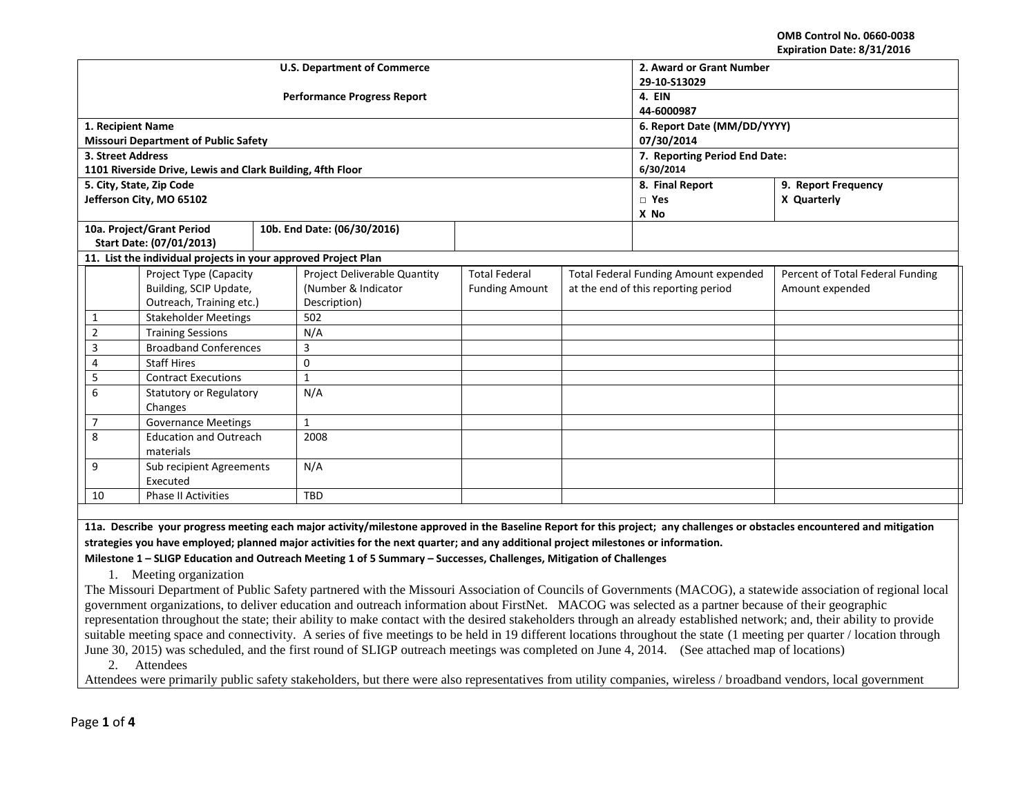**OMB Control No. 0660-0038 Expiration Date: 8/31/2016**

|                           |                                                                |  | <b>U.S. Department of Commerce</b> | 2. Award or Grant Number      |                                              |                                     |                                  |  |
|---------------------------|----------------------------------------------------------------|--|------------------------------------|-------------------------------|----------------------------------------------|-------------------------------------|----------------------------------|--|
|                           |                                                                |  |                                    | 29-10-S13029                  |                                              |                                     |                                  |  |
|                           |                                                                |  | <b>Performance Progress Report</b> | 4. EIN                        |                                              |                                     |                                  |  |
|                           |                                                                |  |                                    | 44-6000987                    |                                              |                                     |                                  |  |
| 1. Recipient Name         |                                                                |  |                                    | 6. Report Date (MM/DD/YYYY)   |                                              |                                     |                                  |  |
|                           | <b>Missouri Department of Public Safety</b>                    |  |                                    | 07/30/2014                    |                                              |                                     |                                  |  |
| 3. Street Address         |                                                                |  |                                    | 7. Reporting Period End Date: |                                              |                                     |                                  |  |
|                           | 1101 Riverside Drive, Lewis and Clark Building, 4fth Floor     |  |                                    |                               |                                              | 6/30/2014                           |                                  |  |
|                           | 5. City, State, Zip Code                                       |  |                                    |                               |                                              | 8. Final Report                     | 9. Report Frequency              |  |
|                           | Jefferson City, MO 65102                                       |  |                                    |                               |                                              | $\Box$ Yes                          | X Quarterly                      |  |
|                           |                                                                |  |                                    |                               |                                              | X No                                |                                  |  |
|                           | 10a. Project/Grant Period                                      |  | 10b. End Date: (06/30/2016)        |                               |                                              |                                     |                                  |  |
|                           | Start Date: (07/01/2013)                                       |  |                                    |                               |                                              |                                     |                                  |  |
|                           | 11. List the individual projects in your approved Project Plan |  |                                    |                               |                                              |                                     |                                  |  |
|                           | Project Type (Capacity                                         |  | Project Deliverable Quantity       | <b>Total Federal</b>          | <b>Total Federal Funding Amount expended</b> |                                     | Percent of Total Federal Funding |  |
|                           | Building, SCIP Update,                                         |  | (Number & Indicator                | <b>Funding Amount</b>         |                                              | at the end of this reporting period | Amount expended                  |  |
|                           | Outreach, Training etc.)                                       |  | Description)                       |                               |                                              |                                     |                                  |  |
| 1                         | <b>Stakeholder Meetings</b>                                    |  | 502                                |                               |                                              |                                     |                                  |  |
| $\overline{2}$            | <b>Training Sessions</b>                                       |  | N/A                                |                               |                                              |                                     |                                  |  |
| 3                         | <b>Broadband Conferences</b>                                   |  | 3                                  |                               |                                              |                                     |                                  |  |
| 4                         | <b>Staff Hires</b>                                             |  | $\mathbf 0$                        |                               |                                              |                                     |                                  |  |
| 5                         | <b>Contract Executions</b>                                     |  | $\mathbf{1}$                       |                               |                                              |                                     |                                  |  |
| 6                         | <b>Statutory or Regulatory</b>                                 |  | N/A                                |                               |                                              |                                     |                                  |  |
|                           | Changes                                                        |  |                                    |                               |                                              |                                     |                                  |  |
| $\overline{7}$            | <b>Governance Meetings</b>                                     |  | $\mathbf{1}$                       |                               |                                              |                                     |                                  |  |
| 8                         | <b>Education and Outreach</b>                                  |  | 2008                               |                               |                                              |                                     |                                  |  |
| materials                 |                                                                |  |                                    |                               |                                              |                                     |                                  |  |
| 9                         | Sub recipient Agreements                                       |  | N/A                                |                               |                                              |                                     |                                  |  |
| Executed                  |                                                                |  |                                    |                               |                                              |                                     |                                  |  |
| Phase II Activities<br>10 |                                                                |  | TBD                                |                               |                                              |                                     |                                  |  |

**11a. Describe your progress meeting each major activity/milestone approved in the Baseline Report for this project; any challenges or obstacles encountered and mitigation strategies you have employed; planned major activities for the next quarter; and any additional project milestones or information.**

**Milestone 1 – SLIGP Education and Outreach Meeting 1 of 5 Summary – Successes, Challenges, Mitigation of Challenges**

1. Meeting organization

The Missouri Department of Public Safety partnered with the Missouri Association of Councils of Governments (MACOG), a statewide association of regional local government organizations, to deliver education and outreach information about FirstNet. MACOG was selected as a partner because of their geographic representation throughout the state; their ability to make contact with the desired stakeholders through an already established network; and, their ability to provide suitable meeting space and connectivity. A series of five meetings to be held in 19 different locations throughout the state (1 meeting per quarter / location through June 30, 2015) was scheduled, and the first round of SLIGP outreach meetings was completed on June 4, 2014. (See attached map of locations)

2. Attendees

Attendees were primarily public safety stakeholders, but there were also representatives from utility companies, wireless / broadband vendors, local government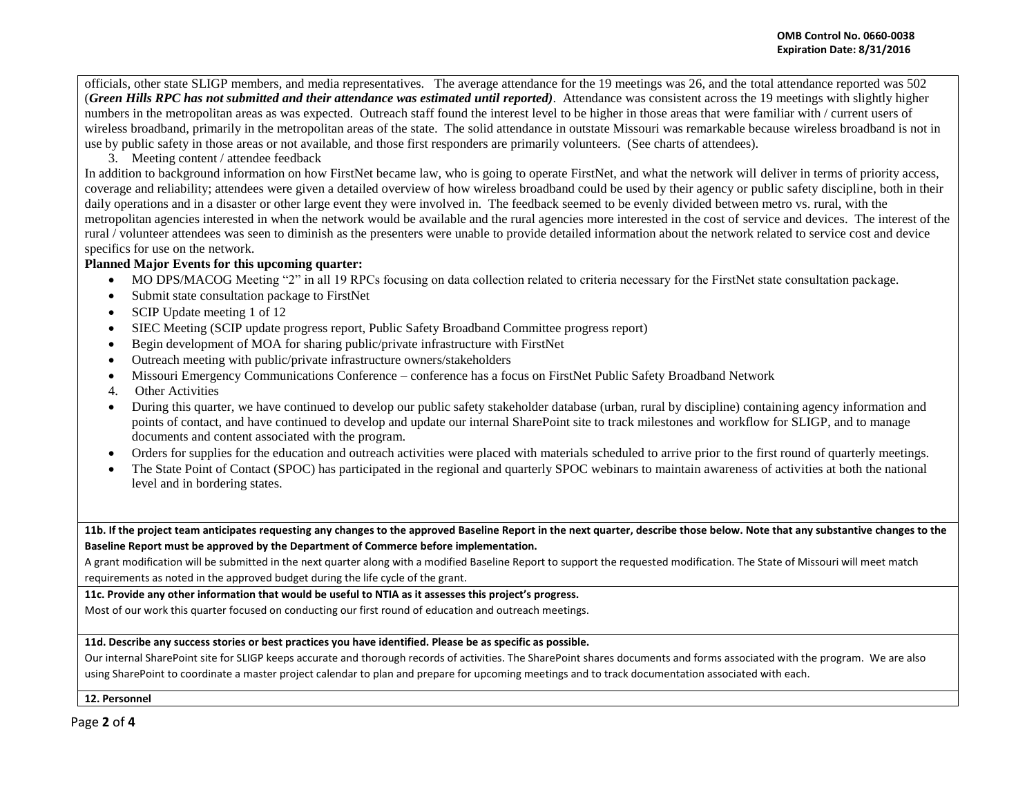officials, other state SLIGP members, and media representatives. The average attendance for the 19 meetings was 26, and the total attendance reported was 502 (*Green Hills RPC has not submitted and their attendance was estimated until reported)*. Attendance was consistent across the 19 meetings with slightly higher numbers in the metropolitan areas as was expected. Outreach staff found the interest level to be higher in those areas that were familiar with / current users of wireless broadband, primarily in the metropolitan areas of the state. The solid attendance in outstate Missouri was remarkable because wireless broadband is not in use by public safety in those areas or not available, and those first responders are primarily volunteers. (See charts of attendees).

# 3. Meeting content / attendee feedback

In addition to background information on how FirstNet became law, who is going to operate FirstNet, and what the network will deliver in terms of priority access, coverage and reliability; attendees were given a detailed overview of how wireless broadband could be used by their agency or public safety discipline, both in their daily operations and in a disaster or other large event they were involved in. The feedback seemed to be evenly divided between metro vs. rural, with the metropolitan agencies interested in when the network would be available and the rural agencies more interested in the cost of service and devices. The interest of the rural / volunteer attendees was seen to diminish as the presenters were unable to provide detailed information about the network related to service cost and device specifics for use on the network.

## **Planned Major Events for this upcoming quarter:**

- MO DPS/MACOG Meeting "2" in all 19 RPCs focusing on data collection related to criteria necessary for the FirstNet state consultation package.
- Submit state consultation package to FirstNet
- SCIP Update meeting 1 of 12
- SIEC Meeting (SCIP update progress report, Public Safety Broadband Committee progress report)
- Begin development of MOA for sharing public/private infrastructure with FirstNet
- Outreach meeting with public/private infrastructure owners/stakeholders
- Missouri Emergency Communications Conference conference has a focus on FirstNet Public Safety Broadband Network
- 4. Other Activities
- During this quarter, we have continued to develop our public safety stakeholder database (urban, rural by discipline) containing agency information and points of contact, and have continued to develop and update our internal SharePoint site to track milestones and workflow for SLIGP, and to manage documents and content associated with the program.
- Orders for supplies for the education and outreach activities were placed with materials scheduled to arrive prior to the first round of quarterly meetings.
- The State Point of Contact (SPOC) has participated in the regional and quarterly SPOC webinars to maintain awareness of activities at both the national level and in bordering states.

**11b. If the project team anticipates requesting any changes to the approved Baseline Report in the next quarter, describe those below. Note that any substantive changes to the Baseline Report must be approved by the Department of Commerce before implementation.** 

A grant modification will be submitted in the next quarter along with a modified Baseline Report to support the requested modification. The State of Missouri will meet match requirements as noted in the approved budget during the life cycle of the grant.

## **11c. Provide any other information that would be useful to NTIA as it assesses this project's progress.**

Most of our work this quarter focused on conducting our first round of education and outreach meetings.

#### **11d. Describe any success stories or best practices you have identified. Please be as specific as possible.**

Our internal SharePoint site for SLIGP keeps accurate and thorough records of activities. The SharePoint shares documents and forms associated with the program. We are also using SharePoint to coordinate a master project calendar to plan and prepare for upcoming meetings and to track documentation associated with each.

#### **12. Personnel**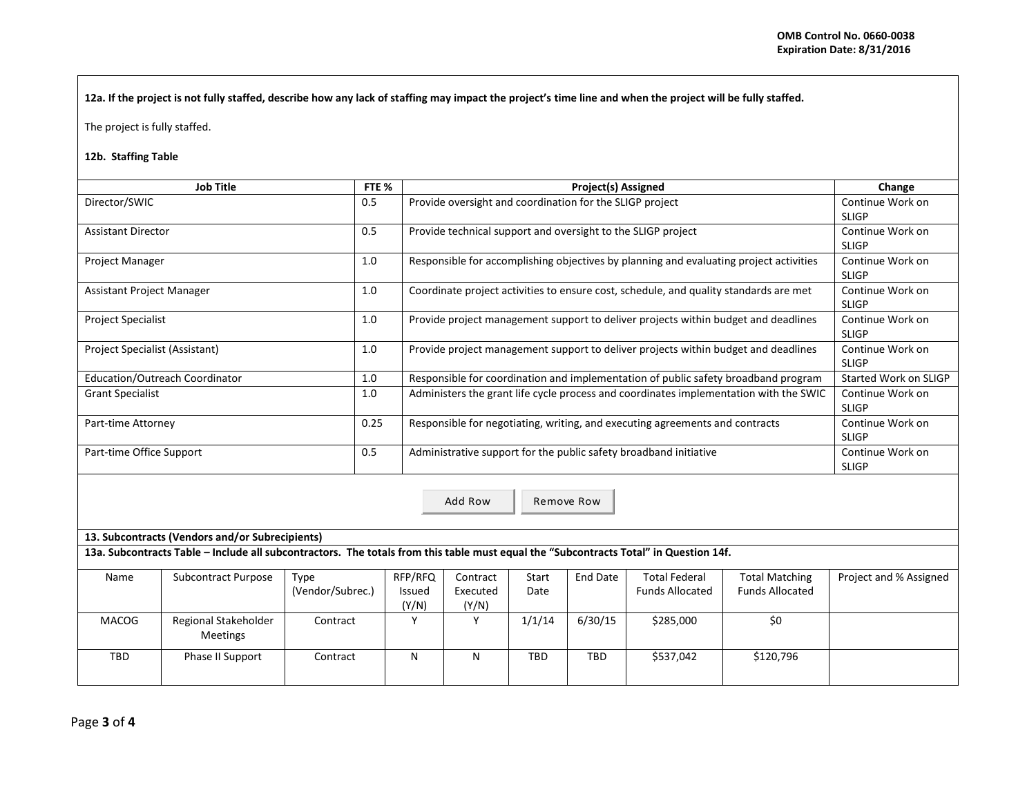**12a. If the project is not fully staffed, describe how any lack of staffing may impact the project's time line and when the project will be fully staffed.**

The project is fully staffed.

## **12b. Staffing Table**

| <b>Job Title</b>               | FTE % | <b>Project(s) Assigned</b>                                                             | Change                           |
|--------------------------------|-------|----------------------------------------------------------------------------------------|----------------------------------|
| Director/SWIC                  | 0.5   | Provide oversight and coordination for the SLIGP project                               | Continue Work on<br><b>SLIGP</b> |
| <b>Assistant Director</b>      | 0.5   | Provide technical support and oversight to the SLIGP project                           | Continue Work on<br><b>SLIGP</b> |
| <b>Project Manager</b>         | 1.0   | Responsible for accomplishing objectives by planning and evaluating project activities | Continue Work on<br><b>SLIGP</b> |
| Assistant Project Manager      | 1.0   | Coordinate project activities to ensure cost, schedule, and quality standards are met  | Continue Work on<br><b>SLIGP</b> |
| <b>Project Specialist</b>      | 1.0   | Provide project management support to deliver projects within budget and deadlines     | Continue Work on<br><b>SLIGP</b> |
| Project Specialist (Assistant) | 1.0   | Provide project management support to deliver projects within budget and deadlines     | Continue Work on<br><b>SLIGP</b> |
| Education/Outreach Coordinator | 1.0   | Responsible for coordination and implementation of public safety broadband program     | Started Work on SLIGP            |
| <b>Grant Specialist</b>        | 1.0   | Administers the grant life cycle process and coordinates implementation with the SWIC  | Continue Work on<br><b>SLIGP</b> |
| Part-time Attorney             | 0.25  | Responsible for negotiating, writing, and executing agreements and contracts           | Continue Work on<br><b>SLIGP</b> |
| Part-time Office Support       | 0.5   | Administrative support for the public safety broadband initiative                      | Continue Work on<br><b>SLIGP</b> |
|                                |       | Add Row<br>Remove Row                                                                  |                                  |

**13. Subcontracts (Vendors and/or Subrecipients)**

**13a. Subcontracts Table – Include all subcontractors. The totals from this table must equal the "Subcontracts Total" in Question 14f.**

| Name  | Subcontract Purpose                     | Type             | RFP/RFQ | Contract | <b>Start</b> | End Date   | <b>Total Federal</b>   | <b>Total Matching</b>  | Project and % Assigned |
|-------|-----------------------------------------|------------------|---------|----------|--------------|------------|------------------------|------------------------|------------------------|
|       |                                         | (Vendor/Subrec.) | Issued  | Executed | Date         |            | <b>Funds Allocated</b> | <b>Funds Allocated</b> |                        |
|       |                                         |                  | (Y/N)   | (Y/N)    |              |            |                        |                        |                        |
| MACOG | Regional Stakeholder<br><b>Meetings</b> | Contract         |         |          | 1/1/14       | 6/30/15    | \$285,000              | \$0                    |                        |
| TBD   | Phase II Support                        | Contract         | N       | Ν        | <b>TBD</b>   | <b>TBD</b> | \$537,042              | \$120,796              |                        |